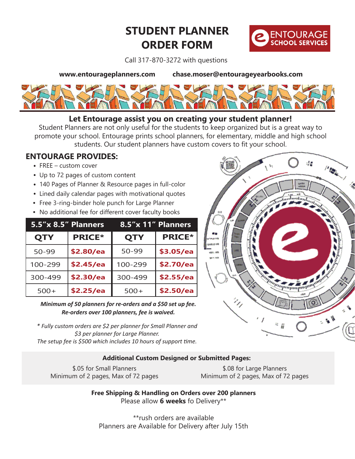# **STUDENT PLANNER ORDER FORM**



Call 317-870-3272 with questions

**www.entourageplanners.com chase.moser@entourageyearbooks.com**



### **Let Entourage assist you on creating your student planner!**

Student Planners are not only useful for the students to keep organized but is a great way to promote your school. Entourage prints school planners, for elementary, middle and high school students. Our student planners have custom covers to fit your school.

### **ENTOURAGE PROVIDES:**

- FREE custom cover
- Up to 72 pages of custom content
- 140 Pages of Planner & Resource pages in full-color
- Lined daily calendar pages with motivational quotes
- Free 3-ring-binder hole punch for Large Planner
- No additional fee for different cover faculty books

|            | 5.5"x 8.5" Planners | 8.5"x 11" Planners |               |  |
|------------|---------------------|--------------------|---------------|--|
| <b>QTY</b> | <b>PRICE*</b>       | <b>QTY</b>         | <b>PRICE*</b> |  |
| 50-99      | \$2.80/ea           | 50-99              | \$3.05/ea     |  |
| 100-299    | \$2.45/ea           | 100-299            | \$2.70/ea     |  |
| 300-499    | \$2.30/ea           | 300-499            | \$2.55/ea     |  |
| $500+$     | \$2.25/ea           | $500+$             | \$2.50/ea     |  |

*Minimum of 50 planners for re-orders and a \$50 set up fee. Re-orders over 100 planners, fee is waived.*

*\* Fully custom orders are \$2 per planner for Small Planner and \$3 per planner for Large Planner. The setup fee is \$500 which includes 10 hours of support time.* 

#### **Additional Custom Designed or Submitted Pages:**

\$.05 for Small Planners Minimum of 2 pages, Max of 72 pages

\$.08 for Large Planners Minimum of 2 pages, Max of 72 pages

**Free Shipping & Handling on Orders over 200 planners** Please allow **6 weeks** fo Delivery\*\*

\*\*rush orders are available Planners are Available for Delivery after July 15th